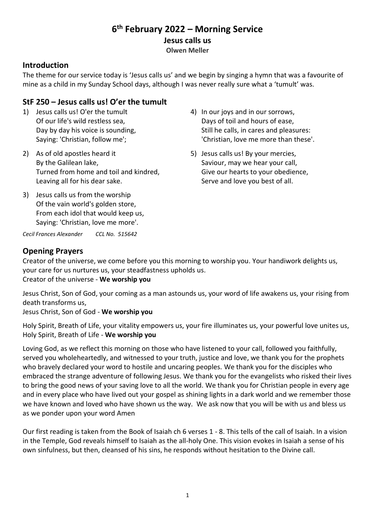# **6 th February 2022 – Morning Service**

**Jesus calls us**

**Olwen Meller**

## **Introduction**

The theme for our service today is 'Jesus calls us' and we begin by singing a hymn that was a favourite of mine as a child in my Sunday School days, although I was never really sure what a 'tumult' was.

## **StF 250 – Jesus calls us! O'er the tumult**

- 1) Jesus calls us! O'er the tumult Of our life's wild restless sea, Day by day his voice is sounding, Saying: 'Christian, follow me';
- 2) As of old apostles heard it By the Galilean lake, Turned from home and toil and kindred, Leaving all for his dear sake.
- 3) Jesus calls us from the worship Of the vain world's golden store, From each idol that would keep us, Saying: 'Christian, love me more'.

*Cecil Frances Alexander CCL No. 515642*

- 4) In our joys and in our sorrows, Days of toil and hours of ease, Still he calls, in cares and pleasures: 'Christian, love me more than these'.
- 5) Jesus calls us! By your mercies, Saviour, may we hear your call, Give our hearts to your obedience, Serve and love you best of all.

#### **Opening Prayers**

Creator of the universe, we come before you this morning to worship you. Your handiwork delights us, your care for us nurtures us, your steadfastness upholds us.

Creator of the universe - **We worship you**

Jesus Christ, Son of God, your coming as a man astounds us, your word of life awakens us, your rising from death transforms us,

Jesus Christ, Son of God - **We worship you**

Holy Spirit, Breath of Life, your vitality empowers us, your fire illuminates us, your powerful love unites us, Holy Spirit, Breath of Life - **We worship you**

Loving God, as we reflect this morning on those who have listened to your call, followed you faithfully, served you wholeheartedly, and witnessed to your truth, justice and love, we thank you for the prophets who bravely declared your word to hostile and uncaring peoples. We thank you for the disciples who embraced the strange adventure of following Jesus. We thank you for the evangelists who risked their lives to bring the good news of your saving love to all the world. We thank you for Christian people in every age and in every place who have lived out your gospel as shining lights in a dark world and we remember those we have known and loved who have shown us the way. We ask now that you will be with us and bless us as we ponder upon your word Amen

Our first reading is taken from the Book of Isaiah ch 6 verses 1 - 8. This tells of the call of Isaiah. In a vision in the Temple, God reveals himself to Isaiah as the all-holy One. This vision evokes in Isaiah a sense of his own sinfulness, but then, cleansed of his sins, he responds without hesitation to the Divine call.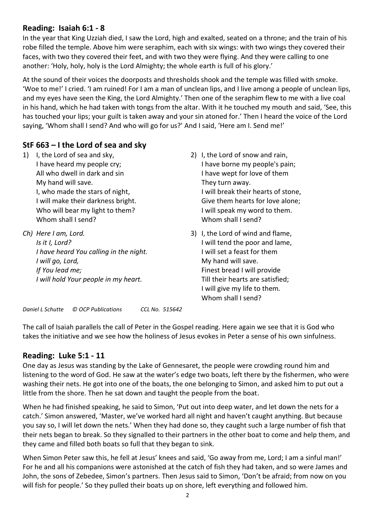#### **Reading: Isaiah 6:1 - 8**

In the year that King Uzziah died, I saw the Lord, high and exalted, seated on a throne; and the train of his robe filled the temple. Above him were seraphim, each with six wings: with two wings they covered their faces, with two they covered their feet, and with two they were flying. And they were calling to one another: 'Holy, holy, holy is the Lord Almighty; the whole earth is full of his glory.'

At the sound of their voices the doorposts and thresholds shook and the temple was filled with smoke. 'Woe to me!' I cried. 'I am ruined! For I am a man of unclean lips, and I live among a people of unclean lips, and my eyes have seen the King, the Lord Almighty.' Then one of the seraphim flew to me with a live coal in his hand, which he had taken with tongs from the altar. With it he touched my mouth and said, 'See, this has touched your lips; your guilt is taken away and your sin atoned for.' Then I heard the voice of the Lord saying, 'Whom shall I send? And who will go for us?' And I said, 'Here am I. Send me!'

#### **StF 663 – I the Lord of sea and sky**

- 1) I, the Lord of sea and sky, I have heard my people cry; All who dwell in dark and sin My hand will save. I, who made the stars of night, I will make their darkness bright. Who will bear my light to them? Whom shall I send?
- *Ch) Here I am, Lord. Is it I, Lord? I have heard You calling in the night. I will go, Lord, If You lead me; I will hold Your people in my heart.*
- 2) I, the Lord of snow and rain, I have borne my people's pain; I have wept for love of them They turn away. I will break their hearts of stone, Give them hearts for love alone; I will speak my word to them. Whom shall I send?
- 3) I, the Lord of wind and flame, I will tend the poor and lame, I will set a feast for them My hand will save. Finest bread I will provide Till their hearts are satisfied; I will give my life to them. Whom shall I send?

*Daniel L Schutte © OCP Publications CCL No. 515642*

The call of Isaiah parallels the call of Peter in the Gospel reading. Here again we see that it is God who takes the initiative and we see how the holiness of Jesus evokes in Peter a sense of his own sinfulness.

## **Reading: Luke 5:1 - 11**

One day as Jesus was standing by the Lake of Gennesaret, the people were crowding round him and listening to the word of God. He saw at the water's edge two boats, left there by the fishermen, who were washing their nets. He got into one of the boats, the one belonging to Simon, and asked him to put out a little from the shore. Then he sat down and taught the people from the boat.

When he had finished speaking, he said to Simon, 'Put out into deep water, and let down the nets for a catch.' Simon answered, 'Master, we've worked hard all night and haven't caught anything. But because you say so, I will let down the nets.' When they had done so, they caught such a large number of fish that their nets began to break. So they signalled to their partners in the other boat to come and help them, and they came and filled both boats so full that they began to sink.

When Simon Peter saw this, he fell at Jesus' knees and said, 'Go away from me, Lord; I am a sinful man!' For he and all his companions were astonished at the catch of fish they had taken, and so were James and John, the sons of Zebedee, Simon's partners. Then Jesus said to Simon, 'Don't be afraid; from now on you will fish for people.' So they pulled their boats up on shore, left everything and followed him.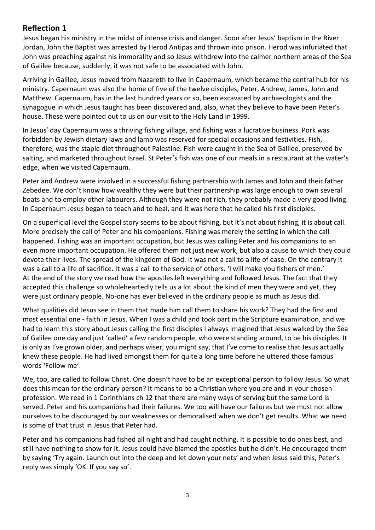## **Reflection 1**

Jesus began his ministry in the midst of intense crisis and danger. Soon after Jesus' baptism in the River Jordan, John the Baptist was arrested by Herod Antipas and thrown into prison. Herod was infuriated that John was preaching against his immorality and so Jesus withdrew into the calmer northern areas of the Sea of Galilee because, suddenly, it was not safe to be associated with John.

Arriving in Galilee, Jesus moved from Nazareth to live in Capernaum, which became the central hub for his ministry. Capernaum was also the home of five of the twelve disciples, Peter, Andrew, James, John and Matthew. Capernaum, has in the last hundred years or so, been excavated by archaeologists and the synagogue in which Jesus taught has been discovered and, also, what they believe to have been Peter's house. These were pointed out to us on our visit to the Holy Land in 1999.

In Jesus' day Capernaum was a thriving fishing village, and fishing was a lucrative business. Pork was forbidden by Jewish dietary laws and lamb was reserved for special occasions and festivities. Fish, therefore, was the staple diet throughout Palestine. Fish were caught in the Sea of Galilee, preserved by salting, and marketed throughout Israel. St Peter's fish was one of our meals in a restaurant at the water's edge, when we visited Capernaum.

Peter and Andrew were involved in a successful fishing partnership with James and John and their father Zebedee. We don't know how wealthy they were but their partnership was large enough to own several boats and to employ other labourers. Although they were not rich, they probably made a very good living. In Capernaum Jesus began to teach and to heal, and it was here that he called his first disciples.

On a superficial level the Gospel story seems to be about fishing, but it's not about fishing, it is about call. More precisely the call of Peter and his companions. Fishing was merely the setting in which the call happened. Fishing was an important occupation, but Jesus was calling Peter and his companions to an even more important occupation. He offered them not just new work, but also a cause to which they could devote their lives. The spread of the kingdom of God. It was not a call to a life of ease. On the contrary it was a call to a life of sacrifice. It was a call to the service of others. 'I will make you fishers of men.' At the end of the story we read how the apostles left everything and followed Jesus. The fact that they accepted this challenge so wholeheartedly tells us a lot about the kind of men they were and yet, they were just ordinary people. No-one has ever believed in the ordinary people as much as Jesus did.

What qualities did Jesus see in them that made him call them to share his work? They had the first and most essential one - faith in Jesus. When I was a child and took part in the Scripture examination, and we had to learn this story about Jesus calling the first disciples I always imagined that Jesus walked by the Sea of Galilee one day and just 'called' a few random people, who were standing around, to be his disciples. It is only as I've grown older, and perhaps wiser, you might say, that I've come to realise that Jesus actually knew these people. He had lived amongst them for quite a long time before he uttered those famous words 'Follow me'.

We, too, are called to follow Christ. One doesn't have to be an exceptional person to follow Jesus. So what does this mean for the ordinary person? It means to be a Christian where you are and in your chosen profession. We read in 1 Corinthians ch 12 that there are many ways of serving but the same Lord is served. Peter and his companions had their failures. We too will have our failures but we must not allow ourselves to be discouraged by our weaknesses or demoralised when we don't get results. What we need is some of that trust in Jesus that Peter had.

Peter and his companions had fished all night and had caught nothing. It is possible to do ones best, and still have nothing to show for it. Jesus could have blamed the apostles but he didn't. He encouraged them by saying 'Try again. Launch out into the deep and let down your nets' and when Jesus said this, Peter's reply was simply 'OK. If you say so'.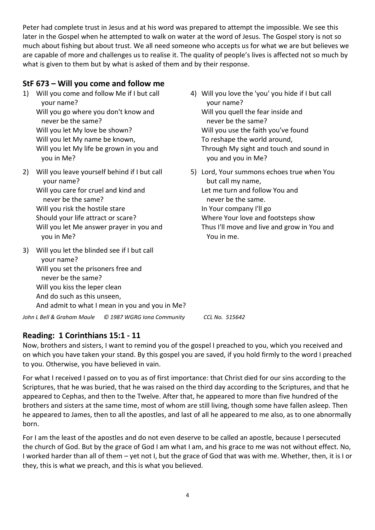Peter had complete trust in Jesus and at his word was prepared to attempt the impossible. We see this later in the Gospel when he attempted to walk on water at the word of Jesus. The Gospel story is not so much about fishing but about trust. We all need someone who accepts us for what we are but believes we are capable of more and challenges us to realise it. The quality of people's lives is affected not so much by what is given to them but by what is asked of them and by their response.

## **StF 673 – Will you come and follow me**

- 1) Will you come and follow Me if I but call your name? Will you go where you don't know and never be the same? Will you let My love be shown? Will you let My name be known, Will you let My life be grown in you and you in Me? 2) Will you leave yourself behind if I but call your name? Will you care for cruel and kind and never be the same? Will you risk the hostile stare Should your life attract or scare? Will you let Me answer prayer in you and you in Me? 3) Will you let the blinded see if I but call your name? Will you set the prisoners free and never be the same? Will you kiss the leper clean
	- 4) Will you love the 'you' you hide if I but call your name? Will you quell the fear inside and never be the same? Will you use the faith you've found To reshape the world around, Through My sight and touch and sound in you and you in Me?
	- 5) Lord, Your summons echoes true when You but call my name, Let me turn and follow You and never be the same. In Your company I'll go Where Your love and footsteps show Thus I'll move and live and grow in You and You in me.

*John L Bell & Graham Maule © 1987 WGRG Iona Community CCL No. 515642*

And admit to what I mean in you and you in Me?

# **Reading: 1 Corinthians 15:1 - 11**

And do such as this unseen,

Now, brothers and sisters, I want to remind you of the gospel I preached to you, which you received and on which you have taken your stand. By this gospel you are saved, if you hold firmly to the word I preached to you. Otherwise, you have believed in vain.

For what I received I passed on to you as of first importance: that Christ died for our sins according to the Scriptures, that he was buried, that he was raised on the third day according to the Scriptures, and that he appeared to Cephas, and then to the Twelve. After that, he appeared to more than five hundred of the brothers and sisters at the same time, most of whom are still living, though some have fallen asleep. Then he appeared to James, then to all the apostles, and last of all he appeared to me also, as to one abnormally born.

For I am the least of the apostles and do not even deserve to be called an apostle, because I persecuted the church of God. But by the grace of God I am what I am, and his grace to me was not without effect. No, I worked harder than all of them – yet not I, but the grace of God that was with me. Whether, then, it is I or they, this is what we preach, and this is what you believed.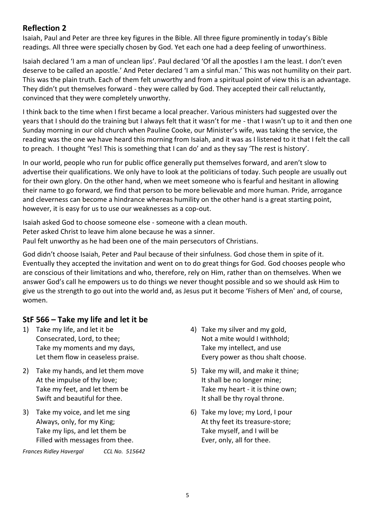### **Reflection 2**

Isaiah, Paul and Peter are three key figures in the Bible. All three figure prominently in today's Bible readings. All three were specially chosen by God. Yet each one had a deep feeling of unworthiness.

Isaiah declared 'I am a man of unclean lips'. Paul declared 'Of all the apostles I am the least. I don't even deserve to be called an apostle.' And Peter declared 'I am a sinful man.' This was not humility on their part. This was the plain truth. Each of them felt unworthy and from a spiritual point of view this is an advantage. They didn't put themselves forward - they were called by God. They accepted their call reluctantly, convinced that they were completely unworthy.

I think back to the time when I first became a local preacher. Various ministers had suggested over the years that I should do the training but I always felt that it wasn't for me - that I wasn't up to it and then one Sunday morning in our old church when Pauline Cooke, our Minister's wife, was taking the service, the reading was the one we have heard this morning from Isaiah, and it was as I listened to it that I felt the call to preach. I thought 'Yes! This is something that I can do' and as they say 'The rest is history'.

In our world, people who run for public office generally put themselves forward, and aren't slow to advertise their qualifications. We only have to look at the politicians of today. Such people are usually out for their own glory. On the other hand, when we meet someone who is fearful and hesitant in allowing their name to go forward, we find that person to be more believable and more human. Pride, arrogance and cleverness can become a hindrance whereas humility on the other hand is a great starting point, however, it is easy for us to use our weaknesses as a cop-out.

Isaiah asked God to choose someone else - someone with a clean mouth. Peter asked Christ to leave him alone because he was a sinner. Paul felt unworthy as he had been one of the main persecutors of Christians.

God didn't choose Isaiah, Peter and Paul because of their sinfulness. God chose them in spite of it. Eventually they accepted the invitation and went on to do great things for God. God chooses people who are conscious of their limitations and who, therefore, rely on Him, rather than on themselves. When we answer God's call he empowers us to do things we never thought possible and so we should ask Him to give us the strength to go out into the world and, as Jesus put it become 'Fishers of Men' and, of course, women.

#### **StF 566 – Take my life and let it be**

- 1) Take my life, and let it be Consecrated, Lord, to thee; Take my moments and my days, Let them flow in ceaseless praise.
- 2) Take my hands, and let them move At the impulse of thy love; Take my feet, and let them be Swift and beautiful for thee.
- 3) Take my voice, and let me sing Always, only, for my King; Take my lips, and let them be Filled with messages from thee.

*Frances Ridley Havergal CCL No. 515642*

- 4) Take my silver and my gold, Not a mite would I withhold; Take my intellect, and use Every power as thou shalt choose.
- 5) Take my will, and make it thine; It shall be no longer mine; Take my heart - it is thine own; It shall be thy royal throne.
- 6) Take my love; my Lord, I pour At thy feet its treasure-store; Take myself, and I will be Ever, only, all for thee.